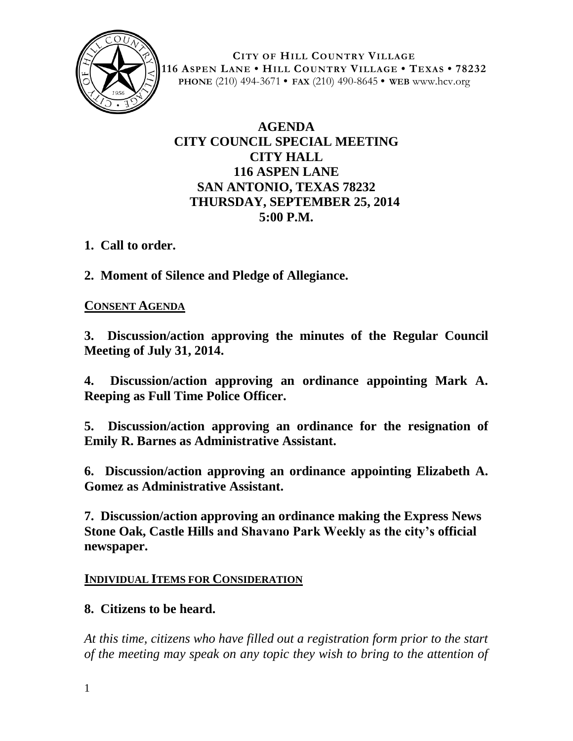

**CITY OF HILL COUNTRY VILLAGE 116 ASPEN LANE • HILL COUNTRY VILLAGE • TEXAS • 78232 PHONE** (210) 494-3671 **• FAX** (210) 490-8645 **• WEB** www.hcv.org

# **AGENDA CITY COUNCIL SPECIAL MEETING CITY HALL 116 ASPEN LANE SAN ANTONIO, TEXAS 78232 THURSDAY, SEPTEMBER 25, 2014 5:00 P.M.**

### **1. Call to order.**

**2. Moment of Silence and Pledge of Allegiance.**

#### **CONSENT AGENDA**

**3. Discussion/action approving the minutes of the Regular Council Meeting of July 31, 2014.**

**4. Discussion/action approving an ordinance appointing Mark A. Reeping as Full Time Police Officer.**

**5. Discussion/action approving an ordinance for the resignation of Emily R. Barnes as Administrative Assistant.**

**6. Discussion/action approving an ordinance appointing Elizabeth A. Gomez as Administrative Assistant.**

**7. Discussion/action approving an ordinance making the Express News Stone Oak, Castle Hills and Shavano Park Weekly as the city's official newspaper.**

### **INDIVIDUAL ITEMS FOR CONSIDERATION**

### **8. Citizens to be heard.**

*At this time, citizens who have filled out a registration form prior to the start of the meeting may speak on any topic they wish to bring to the attention of*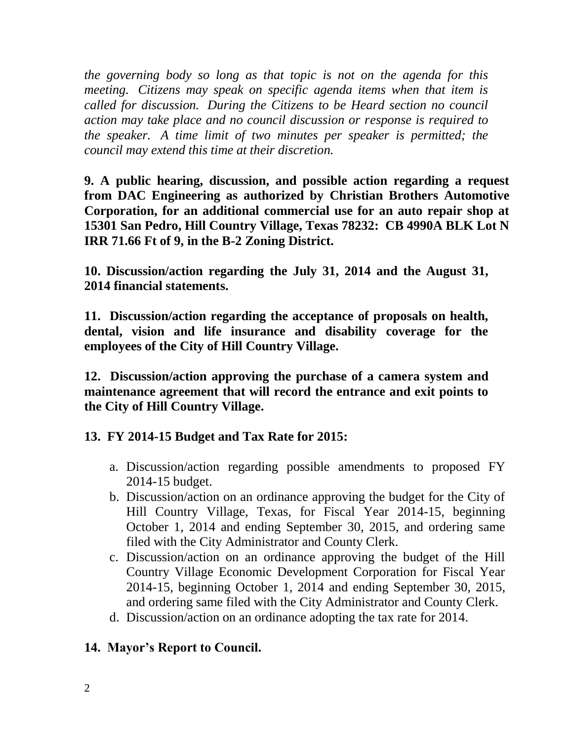*the governing body so long as that topic is not on the agenda for this meeting. Citizens may speak on specific agenda items when that item is called for discussion. During the Citizens to be Heard section no council action may take place and no council discussion or response is required to the speaker. A time limit of two minutes per speaker is permitted; the council may extend this time at their discretion.*

**9. A public hearing, discussion, and possible action regarding a request from DAC Engineering as authorized by Christian Brothers Automotive Corporation, for an additional commercial use for an auto repair shop at 15301 San Pedro, Hill Country Village, Texas 78232: CB 4990A BLK Lot N IRR 71.66 Ft of 9, in the B-2 Zoning District.** 

**10. Discussion/action regarding the July 31, 2014 and the August 31, 2014 financial statements.**

**11. Discussion/action regarding the acceptance of proposals on health, dental, vision and life insurance and disability coverage for the employees of the City of Hill Country Village.**

**12. Discussion/action approving the purchase of a camera system and maintenance agreement that will record the entrance and exit points to the City of Hill Country Village.**

# **13. FY 2014-15 Budget and Tax Rate for 2015:**

- a. Discussion/action regarding possible amendments to proposed FY 2014-15 budget.
- b. Discussion/action on an ordinance approving the budget for the City of Hill Country Village, Texas, for Fiscal Year 2014-15, beginning October 1, 2014 and ending September 30, 2015, and ordering same filed with the City Administrator and County Clerk.
- c. Discussion/action on an ordinance approving the budget of the Hill Country Village Economic Development Corporation for Fiscal Year 2014-15, beginning October 1, 2014 and ending September 30, 2015, and ordering same filed with the City Administrator and County Clerk.
- d. Discussion/action on an ordinance adopting the tax rate for 2014.

# **14. Mayor's Report to Council.**